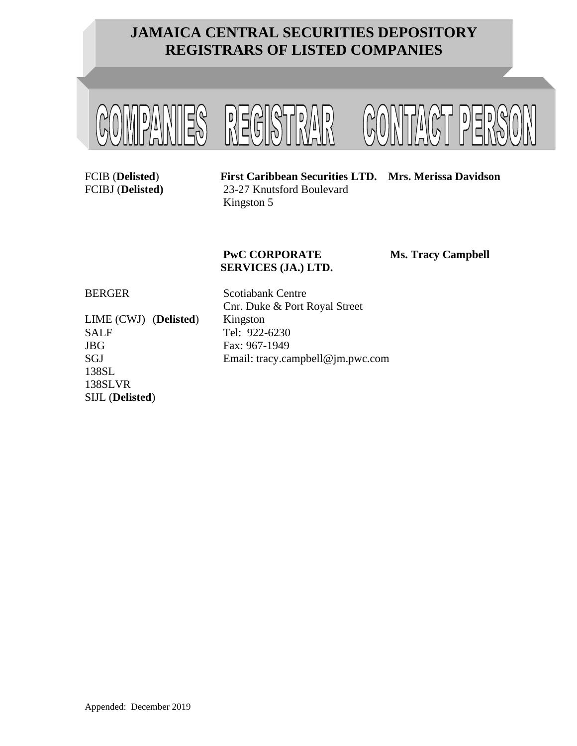

FCIB (**Delisted**) **First Caribbean Securities LTD. Mrs. Merissa Davidson** FCIBJ (**Delisted)** 23-27 Knutsford Boulevard Kingston 5

## **PwC CORPORATE Ms. Tracy Campbell SERVICES (JA.) LTD.**

LIME (CWJ) (**Delisted**) Kingston SALF Tel: 922-6230 JBG Fax: 967-1949 138SL 138SLVR SIJL (**Delisted**)

BERGER Scotiabank Centre Cnr. Duke & Port Royal Street SGJ Email: tracy.campbell@jm.pwc.com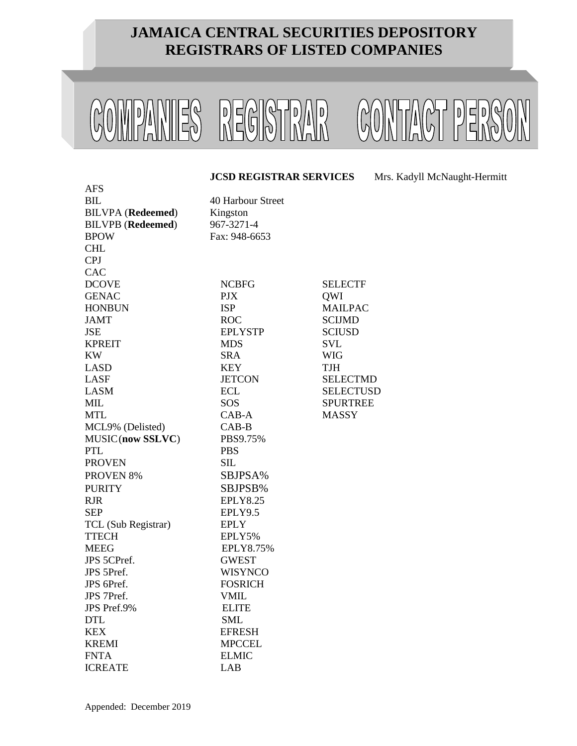

#### **JCSD REGISTRAR SERVICES** Mrs. Kadyll McNaught-Hermitt

| <b>AFS</b>               |                   |                  |
|--------------------------|-------------------|------------------|
| BIL                      | 40 Harbour Street |                  |
| <b>BILVPA</b> (Redeemed) | Kingston          |                  |
| <b>BILVPB</b> (Redeemed) | 967-3271-4        |                  |
| <b>BPOW</b>              | Fax: 948-6653     |                  |
| <b>CHL</b>               |                   |                  |
| <b>CPJ</b>               |                   |                  |
| CAC                      |                   |                  |
| <b>DCOVE</b>             | <b>NCBFG</b>      | <b>SELECTF</b>   |
| <b>GENAC</b>             | <b>PJX</b>        | QWI              |
| <b>HONBUN</b>            | <b>ISP</b>        | <b>MAILPAC</b>   |
| <b>JAMT</b>              | <b>ROC</b>        | <b>SCIJMD</b>    |
| <b>JSE</b>               | <b>EPLYSTP</b>    | <b>SCIUSD</b>    |
| <b>KPREIT</b>            | <b>MDS</b>        | <b>SVL</b>       |
| <b>KW</b>                | <b>SRA</b>        | <b>WIG</b>       |
| <b>LASD</b>              | <b>KEY</b>        | <b>TJH</b>       |
| <b>LASF</b>              | <b>JETCON</b>     | <b>SELECTMD</b>  |
| <b>LASM</b>              | <b>ECL</b>        | <b>SELECTUSD</b> |
| MIL                      | SOS               | <b>SPURTREE</b>  |
| <b>MTL</b>               | CAB-A             | <b>MASSY</b>     |
| MCL9% (Delisted)         | $CAB-B$           |                  |
| MUSIC(now SSLVC)         | PBS9.75%          |                  |
| <b>PTL</b>               | <b>PBS</b>        |                  |
| <b>PROVEN</b>            | SIL               |                  |
| PROVEN <sub>8%</sub>     | SBJPSA%           |                  |
| <b>PURITY</b>            | SBJPSB%           |                  |
| <b>RJR</b>               | <b>EPLY8.25</b>   |                  |
| <b>SEP</b>               | EPLY9.5           |                  |
| TCL (Sub Registrar)      | <b>EPLY</b>       |                  |
| <b>TTECH</b>             | EPLY5%            |                  |
| <b>MEEG</b>              | EPLY8.75%         |                  |
| JPS 5CPref.              | GWEST             |                  |
| JPS 5Pref.               | <b>WISYNCO</b>    |                  |
| JPS 6Pref.               | <b>FOSRICH</b>    |                  |
| JPS 7Pref.               | <b>VMIL</b>       |                  |
| JPS Pref.9%              | <b>ELITE</b>      |                  |
| <b>DTL</b>               | <b>SML</b>        |                  |
| <b>KEX</b>               | <b>EFRESH</b>     |                  |
| <b>KREMI</b>             | <b>MPCCEL</b>     |                  |
| <b>FNTA</b>              | <b>ELMIC</b>      |                  |
| <b>ICREATE</b>           | LAB               |                  |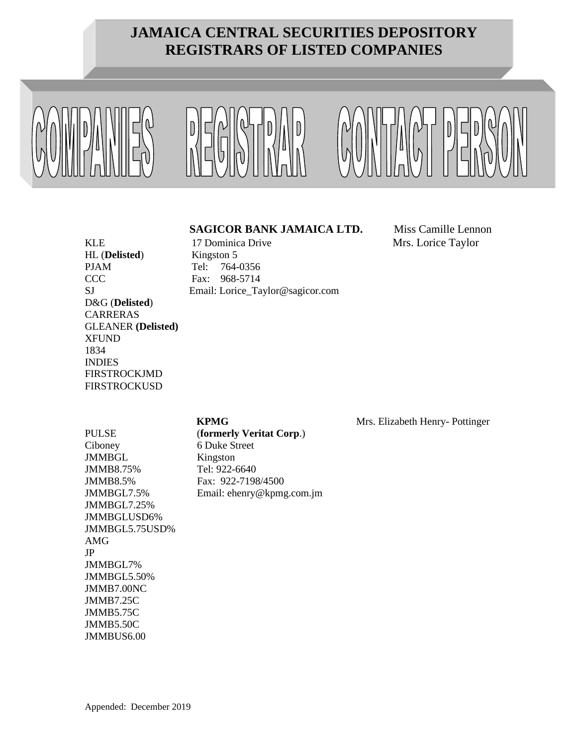





#### **SAGICOR BANK JAMAICA LTD.** Miss Camille Lennon

KLE 17 Dominica Drive Mrs. Lorice Taylor

HL (**Delisted**) Kingston 5 PJAM Tel: 764-0356 CCC Fax: 968-5714 SJ Email: Lorice\_Taylor@sagicor.com D&G (**Delisted**) CARRERAS GLEANER **(Delisted)** XFUND 1834 INDIES FIRSTROCKJMD **FIRSTROCKUSD** 

## Ciboney 6 Duke Street JMMBGL Kingston JMMB8.75% Tel: 922-6640 JMMBGL7.25% JMMBGLUSD6% JMMBGL5.75USD% AMG JP JMMBGL7% JMMBGL5.50% JMMB7.00NC JMMB7.25C JMMB5.75C

JMMB5.50C JMMBUS6.00

PULSE (**formerly Veritat Corp**.) JMMB8.5% Fax: 922-7198/4500 JMMBGL7.5% Email: ehenry@kpmg.com.jm

**KPMG** Mrs. Elizabeth Henry- Pottinger

Appended: December 2019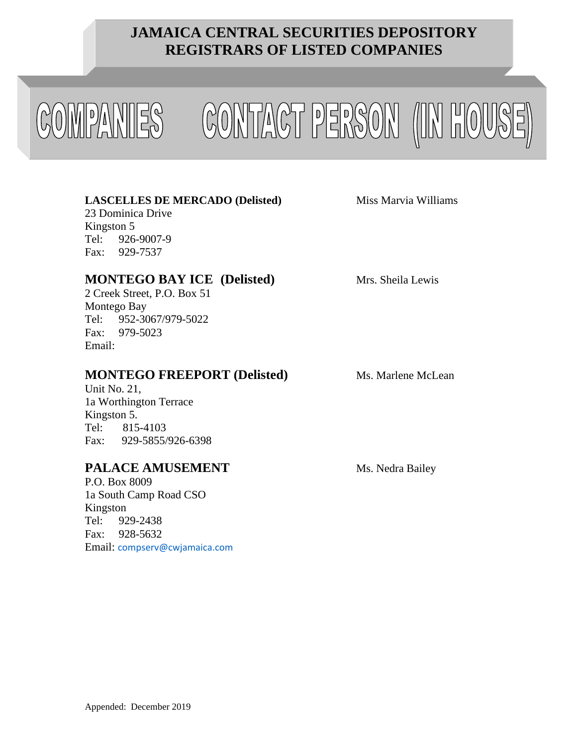



### **LASCELLES DE MERCADO (Delisted)** Miss Marvia Williams

23 Dominica Drive Kingston 5 Tel: 926-9007-9 Fax: 929-7537

## **MONTEGO BAY ICE (Delisted)** Mrs. Sheila Lewis

2 Creek Street, P.O. Box 51 Montego Bay Tel: 952-3067/979-5022 Fax: 979-5023 Email:

## **MONTEGO FREEPORT** (Delisted) Ms. Marlene McLean

Unit No. 21, 1a Worthington Terrace Kingston 5. Tel: 815-4103 Fax: 929-5855/926-6398

## **PALACE AMUSEMENT** Ms. Nedra Bailey

P.O. Box 8009 1a South Camp Road CSO Kingston Tel: 929-2438 Fax: 928-5632 Email: [compserv@cwjamaica.com](mailto:compserv@cwjamaica.com)